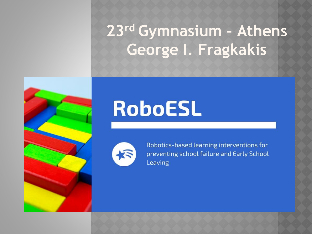## **23rd Gymnasium - Athens George I. Fragkakis**



# **RoboESL**



Robotics-based learning interventions for preventing school failure and Early School Leaving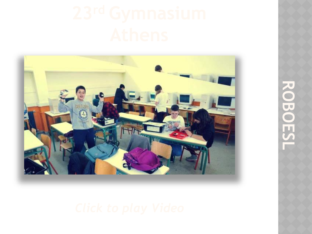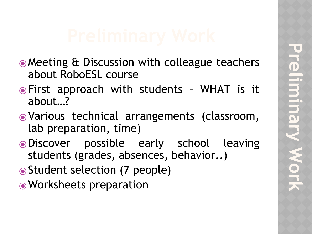- ⦿Meeting & Discussion with colleague teachers about RoboESL course
- ⦿First approach with students WHAT is it about…?
- ⦿Various technical arrangements (classroom, lab preparation, time)
- ⦿Discover possible early school leaving students (grades, absences, behavior..)
- ⦿Student selection (7 people)
- ⦿Worksheets preparation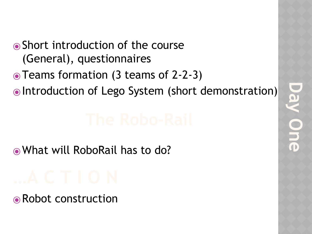⦿Short introduction of the course (General), questionnaires

⦿Teams formation (3 teams of 2-2-3)

⦿Introduction of Lego System (short demonstration)

⦿What will RoboRail has to do?

**● Robot construction**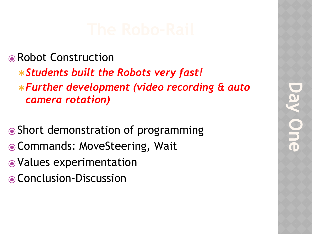- **Robot Construction** 
	- ✱*Students built the Robots very fast!* ✱*Further development (video recording & auto camera rotation)*
- ⦿Short demonstration of programming ⦿Commands: MoveSteering, Wait ⦿Values experimentation ⦿Conclusion-Discussion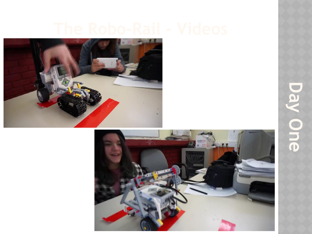



**Day One**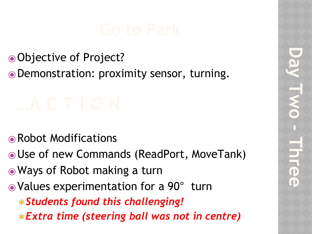- ⦿Objective of Project?
- ⦿Demonstration: proximity sensor, turning.

- ⦿Robot Modifications
- ⦿Use of new Commands (ReadPort, MoveTank)
- ⦿Ways of Robot making a turn
- ⦿Values experimentation for a 90° turn ✱*Students found this challenging!* ✱*Extra time (steering ball was not in centre)*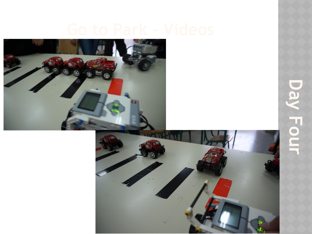